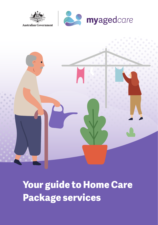

**Australian Government** 





**Your guide to Home Care Package services**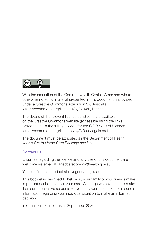

With the exception of the Commonwealth Coat of Arms and where otherwise noted, all material presented in this document is provided under a Creative Commons Attribution 3.0 Australia (creativecommons.org/licences/by/3.0/au) licence.

The details of the relevant licence conditions are available on the Creative Commons website (accessible using the links provided), as is the full legal code for the CC BY 3.0 AU licence (creativecommons.org/licences/by/3.0/au/legalcode).

The document must be attributed as the Department of Health *Your guide to Home Care Package services*.

#### **Contact us**

Enquiries regarding the licence and any use of this document are welcome via email at: agedcarecomms@health.gov.au

You can find this product at myagedcare.gov.au

This booklet is designed to help you, your family or your friends make important decisions about your care. Although we have tried to make it as comprehensive as possible, you may want to seek more specific information regarding your individual situation to make an informed decision.

Information is current as at September 2020.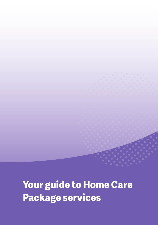**Your guide to Home Care Package services**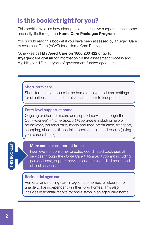### <span id="page-3-0"></span>**Is this booklet right for you?**

This booklet explains how older people can receive support in their home and daily life through the **Home Care Packages Program.** 

You should read this booklet if you have been assessed by an Aged Care Assessment Team (ACAT) for a Home Care Package.

Otherwise call My Aged Care on 1800 200 422 or go to myagedcare.gov.au for information on the assessment process and eligibility for different types of government-funded aged care:

#### **Short-term care**

Short-term care services in the home or residential care settings for situations such as restorative care (return to independence).

#### **Entry-level support at home**

Ongoing or short term care and support services through the *Commonwealth Home Support Programme* including help with housework, personal care, meals and food preparation, transport, shopping, allied health, social support and planned respite (giving your carer a break).

#### **More complex support at home**

Four levels of consumer directed coordinated packages of services through the *Home Care Packages Program* including personal care, support services and nursing, allied health and clinical services.

#### **Residential aged care**

Personal and nursing care in aged care homes for older people unable to live independently in their own homes. This also includes residential respite for short stays in an aged care home.

# **THIS BOOKLETHIS BOOKLET**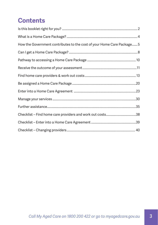# **Contents**

| How the Government contributes to the cost of your Home Care Package 5 |  |
|------------------------------------------------------------------------|--|
|                                                                        |  |
|                                                                        |  |
|                                                                        |  |
|                                                                        |  |
|                                                                        |  |
|                                                                        |  |
|                                                                        |  |
|                                                                        |  |
|                                                                        |  |
|                                                                        |  |
|                                                                        |  |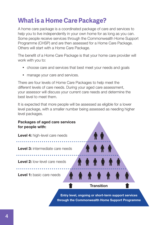# <span id="page-5-0"></span>**What is a Home Care Package?**

A home care package is a coordinated package of care and services to help you to live independently in your own home for as long as you can. Some people receive services through the Commonwealth Home Support Programme (CHSP) and are then assessed for a Home Care Package. Others will start with a Home Care Package.

The benefit of a Home Care Package is that your home care provider will work with you to:

- choose care and services that best meet your needs and goals
- manage your care and services.

There are four levels of Home Care Packages to help meet the different levels of care needs. During your aged care assessment, your assessor will discuss your current care needs and determine the best level to meet them.

It is expected that more people will be assessed as eligible for a lower level package, with a smaller number being assessed as needing higher level packages.

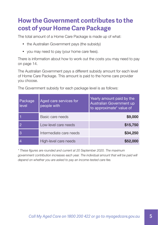### <span id="page-6-0"></span>**How the Government contributes to the cost of your Home Care Package**

The total amount of a Home Care Package is made up of what:

- the Australian Government pays (the subsidy)
- you may need to pay (your home care fees).

There is information about how to work out the costs you may need to pay on page 14.

The Australian Government pays a different subsidy amount for each level of Home Care Package. This amount is paid to the home care provider you choose.

The Government subsidy for each package level is as follows:

| Package<br>level | Aged care services for<br>people with | Yearly amount paid by the<br>Australian Government up<br>to approximate* value of |
|------------------|---------------------------------------|-----------------------------------------------------------------------------------|
|                  | Basic care needs                      | \$9,000                                                                           |
|                  | Low-level care needs                  | \$15,750                                                                          |
| 3                | Intermediate care needs               | \$34,250                                                                          |
|                  | High-level care needs                 | \$52,000                                                                          |

*\* These figures are rounded and current at 20 September 2020. The maximum*  government contribution increases each year. The individual amount that will be paid will *depend on whether you are asked to pay an income-tested care fee.*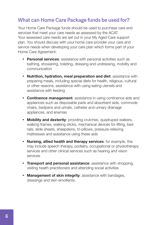#### **What can Home Care Package funds be used for?**

Your Home Care Package funds should be used to purchase care and services that meet your care needs as assessed by the ACAT. Your assessed care needs are set out in your My Aged Care support plan. You should discuss with your home care provider your care and service needs when developing your care plan which forms part of your Home Care Agreement:

- Personal services: assistance with personal activities such as bathing, showering, toileting, dressing and undressing, mobility and communication
- Nutrition, hydration, meal preparation and diet: assistance with preparing meals, including special diets for health, religious, cultural or other reasons, assistance with using eating utensils and assistance with feeding
- Continence management: assistance in using continence aids and appliances such as disposable pads and absorbent aids, commode chairs, bedpans and urinals, catheter and urinary drainage appliances, and enemas
- Mobility and dexterity: providing crutches, quadruped walkers, walking frames, walking sticks, mechanical devices for lifting, bed rails, slide sheets, sheepskins, tri-pillows, pressure-relieving mattresses and assistance using these aids
- Nursing, allied health and therapy services: for example, this may include speech therapy, podiatry, occupational or physiotherapy services and other clinical services such as hearing and vision services
- Transport and personal assistance: assistance with shopping, visiting health practitioners and attending social activities
- Management of skin integrity: assistance with bandages, dressings and skin emollients.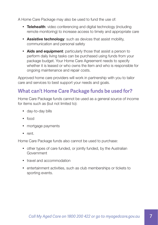A Home Care Package may also be used to fund the use of:

- Telehealth: video conferencing and digital technology (including remote monitoring) to increase access to timely and appropriate care
- Assistive technology: such as devices that assist mobility, communication and personal safety
- Aids and equipment: particularly those that assist a person to perform daily living tasks can be purchased using funds from your package budget. Your Home Care Agreement needs to specify whether it is leased or who owns the item and who is responsible for ongoing maintenance and repair costs.

Approved home care providers will work in partnership with you to tailor care and services to best support your needs and goals.

#### **What can't Home Care Package funds be used for?**

Home Care Package funds cannot be used as a general source of income for items such as (but not limited to):

- day-to-day bills
- $\bullet$  food
- mortgage payments
- $\bullet$  rent.

Home Care Package funds also cannot be used to purchase:

- other types of care funded, or jointly funded, by the Australian **Government**
- travel and accommodation
- entertainment activities, such as club memberships or tickets to sporting events.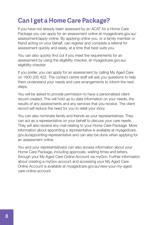## <span id="page-9-0"></span>**Can I get a Home Care Package?**

If you have not already been assessed by an ACAT for a Home Care Package you can apply for an assessment online at myagedcare.gov.au/ assessment/apply-online. By applying online you, or a family member or friend acting on your behalf, can register and complete a referral for assessment quickly and easily, at a time that best suits you.

You can also quickly find out if you meet the requirements for an assessment by using the eligibility checker, at myagedcare.gov.au/ eligibility-checker.

If you prefer, you can apply for an assessment by calling My Aged Care on 1800 200 422. The contact centre staff will ask you questions to help them understand your needs and care arrangements to inform the next steps.

You will be asked to provide permission to have a personalised client record created. This will hold up-to-date information on your needs, the results of any assessments and any services that you receive. The client record will reduce the need for you to retell your story.

You can also nominate family and friends as your representatives. They can act as a representative on your behalf to discuss your care needs. They will also receive any mail relating to your Home Care Package. More information about appointing a representative is available at myagedcare. gov.au/appointing-representative and can also be done when applying for an assessment online.

You and your representative(s) can also access information about your Home Care Package, including approvals, waiting times and letters, through your My Aged Care Online Account via myGov. Further information about creating a myGov account and accessing your My Aged Care Online Account is available at [myagedcare.gov.au/view-your-my-aged](http://myagedcare.gov.au/view-your-my-aged-care-online-account)[care-online-account.](http://myagedcare.gov.au/view-your-my-aged-care-online-account)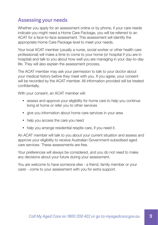### **Assessing your needs**

Whether you apply for an assessment online or by phone, if your care needs indicate you might need a Home Care Package, you will be referred to an ACAT for a face-to-face assessment. This assessment will identify the appropriate Home Care Package level to meet your needs.

Your local ACAT member (usually a nurse, social worker or other health care professional) will make a time to come to your home (or hospital if you are in hospital) and talk to you about how well you are managing in your day-to-day life. They will also explain the assessment process.

The ACAT member may ask your permission to talk to your doctor about your medical history before they meet with you. If you agree, your consent will be recorded by the ACAT member. All information provided will be treated confidentially.

With your consent, an ACAT member will:

- assess and approve your eligibility for home care to help you continue living at home or refer you to other services
- give you information about home care services in your area
- help you access the care you need
- help you arrange residential respite care, if you need it.

An ACAT member will talk to you about your current situation and assess and approve your eligibility to receive Australian Government-subsidised aged care services. These assessments are free.

Your preferences will always be considered, and you do not need to make any decisions about your future during your assessment.

You are welcome to have someone else - a friend, family member or your carer - come to your assessment with you for extra support.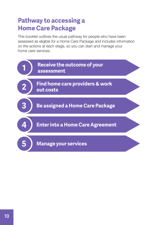### <span id="page-11-0"></span>**Pathway to accessing a Home Care Package**

This booklet outlines the usual pathway for people who have been assessed as eligible for a Home Care Package and includes information on the actions at each stage, so you can start and manage your home care services.

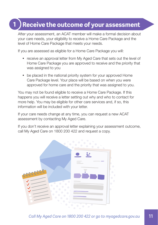## **Receive the outcome of your assessment**

After your assessment, an ACAT member will make a formal decision about your care needs, your eligibility to receive a Home Care Package and the level of Home Care Package that meets your needs.

If you are assessed as eligible for a Home Care Package you will:

<span id="page-12-0"></span>**1**

- receive an approval letter from My Aged Care that sets out the level of Home Care Package you are approved to receive and the priority that was assigned to you
- be placed in the national priority system for your approved Home Care Package level. Your place will be based on when you were approved for home care and the priority that was assigned to you.

You may not be found eligible to receive a Home Care Package. If this happens you will receive a letter setting out why and who to contact for more help. You may be eligible for other care services and, if so, this information will be included with your letter.

If your care needs change at any time, you can request a new ACAT assessment by contacting My Aged Care.

If you don't receive an approval letter explaining your assessment outcome, call My Aged Care on 1800 200 422 and request a copy.

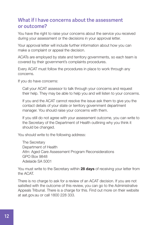#### **What if I have concerns about the assessment or outcome?**

You have the right to raise your concerns about the service you received during your assessment or the decisions in your approval letter.

Your approval letter will include further information about how you can make a complaint or appeal the decision.

ACATs are employed by state and territory governments, so each team is covered by their government's complaints procedures.

Every ACAT must follow the procedures in place to work through any concerns.

If you do have concerns:

Call your ACAT assessor to talk through your concerns and request their help. They may be able to help you and will listen to your concerns.

If you and the ACAT cannot resolve the issue ask them to give you the contact details of your state or territory government department manager. You should raise your concerns with them.

If you still do not agree with your assessment outcome, you can write to the Secretary of the Department of Health outlining why you think it should be changed.

You should write to the following address:

The Secretary Department of Health Attn: Aged Care Assessment Program Reconsiderations GPO Box 9848 Adelaide SA 5001

You must write to the Secretary within 28 days of receiving your letter from the ACAT.

There is no charge to ask for a review of an ACAT decision. If you are not satisfied with the outcome of this review, you can go to the Administrative Appeals Tribunal. There is a charge for this. Find out more on their website at aat.gov.au or call 1800 228 333.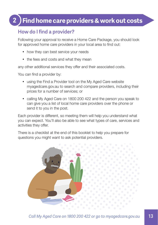### <span id="page-14-0"></span>**2 Find home care providers & work out costs**

#### **How do I find a provider?**

Following your approval to receive a Home Care Package, you should look for approved home care providers in your local area to find out:

- how they can best service your needs
- the fees and costs and what they mean

any other additional services they offer and their associated costs.

You can find a provider by:

- using the Find a Provider tool on the My Aged Care website myagedcare.gov.au to search and compare providers, including their prices for a number of services; or
- calling My Aged Care on 1800 200 422 and the person you speak to can give you a list of local home care providers over the phone or send it to you in the post.

Each provider is different, so meeting them will help you understand what you can expect. You'll also be able to see what types of care, services and activities they offer.

There is a checklist at the end of this booklet to help you prepare for questions you might want to ask potential providers.

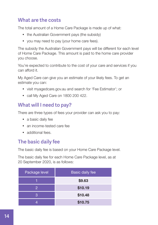### **What are the costs**

The total amount of a Home Care Package is made up of what:

- the Australian Government pays (the subsidy)
- you may need to pay (your home care fees).

The subsidy the Australian Government pays will be different for each level of Home Care Package. This amount is paid to the home care provider you choose.

You're expected to contribute to the cost of your care and services if you can afford it.

My Aged Care can give you an estimate of your likely fees. To get an estimate you can:

- visit myagedcare.gov.au and search for 'Fee Estimator'; or
- call My Aged Care on 1800 200 422.

### **What will I need to pay?**

There are three types of fees your provider can ask you to pay:

- a basic daily fee
- an income-tested care fee
- additional fees.

#### **The basic daily fee**

The basic daily fee is based on your Home Care Package level.

The basic daily fee for each Home Care Package level, as at 20 September 2020, is as follows:

| Package level | <b>Basic daily fee</b> |
|---------------|------------------------|
|               | \$9.63                 |
| 2             | \$10.19                |
| З             | \$10.48                |
|               | \$10.75                |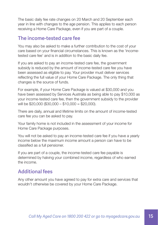The basic daily fee rate changes on 20 March and 20 September each year in line with changes to the age pension. This applies to each person receiving a Home Care Package, even if you are part of a couple.

#### **The income-tested care fee**

You may also be asked to make a further contribution to the cost of your care based on your financial circumstances. This is known as the 'incometested care fee' and is in addition to the basic daily fee.

If you are asked to pay an income-tested care fee, the government subsidy is reduced by the amount of income-tested care fee you have been assessed as eligible to pay. Your provider must deliver services reflecting the full value of your Home Care Package. The only thing that changes is the source of funds.

For example, if your Home Care Package is valued at \$30,000 and you have been assessed by Services Australia as being able to pay \$10,000 as your income-tested care fee, then the government subsidy to the provider will be \$20,000 (\$30,000 – \$10,000 = \$20,000).

There are daily, annual and lifetime limits on the amount of income-tested care fee you can be asked to pay.

Your family home is not included in the assessment of your income for Home Care Package purposes.

You will not be asked to pay an income-tested care fee if you have a yearly income below the maximum income amount a person can have to be classified as a full pensioner.

If you are part of a couple, the income-tested care fee payable is determined by halving your combined income, regardless of who earned the income.

### **Additional fees**

Any other amount you have agreed to pay for extra care and services that wouldn't otherwise be covered by your Home Care Package.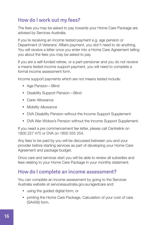### **How do I work out my fees?**

The fees you may be asked to pay towards your Home Care Package are advised by Services Australia.

If you're receiving an income tested payment e.g. age pension or Department of Veterans' Affairs payment, you don't need to do anything. You will receive a letter once you enter into a Home Care Agreement telling you about the fees you may be asked to pay.

If you are a self-funded retiree, or a part-pensioner and you do not receive a means tested income support payment, you will need to complete a formal income assessment form.

Income support payments which are not means tested include:

- Age Pension—Blind
- Disability Support Pension—Blind
- Carer Allowance
- Mobility Allowance
- DVA Disability Pension without the Income Support Supplement
- DVA War Widow's Pension without the Income Support Supplement.

If you need a pre commencement fee letter, please call Centrelink on 1800 227 475 or DVA on 1800 555 254.

Any fees to be paid by you will be discussed between you and your provider before starting services as part of developing your Home Care Agreement and package budget.

Once care and services start you will be able to review all subsidies and fees relating to your Home Care Package in your monthly statement.

#### **How do I complete an income assessment?**

You can complete an income assessment by going to the Services Australia website at servicesaustralia.gov.au/agedcare and:

- using the quided digital form; or
- printing the Home Care Package, Calculation of your cost of care (SA456) form.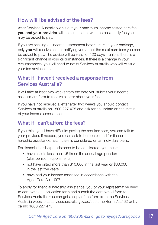#### **How will I be advised of the fees?**

After Services Australia works out your maximum income-tested care fee **you and your provider** will be sent a letter with the basic daily fee you may be asked to pay.

If you are seeking an income assessment before starting your package, only **you** will receive a letter notifying you about the maximum fees you can be asked to pay. The advice will be valid for 120 days – unless there is a significant change in your circumstances. If there is a change in your circumstances, you will need to notify Services Australia who will reissue your fee advice letter.

#### **What if I haven't received a response from Services Australia?**

It will take at least two weeks from the date you submit your income assessment form to receive a letter about your fees.

If you have not received a letter after two weeks you should contact Services Australia on 1800 227 475 and ask for an update on the status of your income assessment.

### **What if I can't afford the fees?**

If you think you'll have difficulty paying the required fees, you can talk to your provider. If needed, you can ask to be considered for financial hardship assistance. Each case is considered on an individual basis.

For financial hardship assistance to be considered, you must:

- have assets less than 1.5 times the annual age pension (plus pension supplements)
- not have gifted more than \$10,000 in the last year or \$30,000 in the last five years
- have had your income assessed in accordance with the Aged Care Act 1997.

To apply for financial hardship assistance, you or your representative need to complete an application form and submit the completed form to Services Australia. You can get a copy of the form from the Services Australia website at [servicesaustralia.gov.au/customer/forms/sa462](http://servicesaustralia.gov.au/customer/forms/sa462) or by calling 1800 227 475.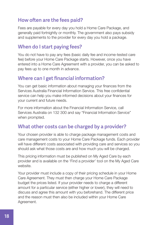#### **How often are the fees paid?**

Fees are payable for every day you hold a Home Care Package, and generally paid fortnightly or monthly. The government also pays subsidy and supplements to the provider for every day you hold a package.

#### **When do I start paying fees?**

You do not have to pay any fees (basic daily fee and income-tested care fee) before your Home Care Package starts. However, once you have entered into a Home Care Agreement with a provider, you can be asked to pay fees up to one month in advance.

#### **Where can I get financial information?**

You can get basic information about managing your finances from the Services Australia Financial Information Service. This free confidential service can help you make informed decisions about your finances for your current and future needs.

For more information about the Financial Information Service, call Services Australia on 132 300 and say "Financial Information Service" when prompted.

#### **What other costs can be charged by a provider?**

Your chosen provider is able to charge package management costs and care management costs to your Home Care Package funds. Each provider will have different costs associated with providing care and services so you should ask what those costs are and how much you will be charged.

This pricing information must be published on My Aged Care by each provider and is available on the 'Find a provider' tool on the My Aged Care website.

Your provider must include a copy of their pricing schedule in your Home Care Agreement. They must then charge your Home Care Package budget the prices listed. If your provider needs to charge a different amount for a particular service (either higher or lower), they will need to discuss and agree this amount with you beforehand. The different price and the reason must then also be included within your Home Care Agreement.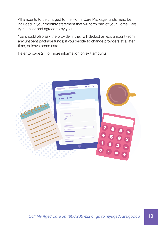All amounts to be charged to the Home Care Package funds must be included in your monthly statement that will form part of your Home Care Agreement and agreed to by you.

You should also ask the provider if they will deduct an exit amount (from any unspent package funds) if you decide to change providers at a later time, or leave home care.

Refer to page 27 for more information on exit amounts.

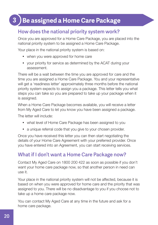### <span id="page-21-0"></span>**3 Be assigned a Home Care Package**

#### **How does the national priority system work?**

Once you are approved for a Home Care Package, you are placed into the national priority system to be assigned a Home Care Package.

Your place in the national priority system is based on:

- when you were approved for home care
- your priority for service as determined by the ACAT during your assessment.

There will be a wait between the time you are approved for care and the time you are assigned a Home Care Package. You and your representative will get a 'readiness letter' approximately three months before the national priority system expects to assign you a package. This letter tells you what steps you can take so you are prepared to take up your package when it is assigned.

When a Home Care Package becomes available, you will receive a letter from My Aged Care to let you know you have been assigned a package.

The letter will include:

- what level of Home Care Package has been assigned to you
- a unique referral code that you give to your chosen provider.

Once you have received this letter you can then start negotiating the details of your Home Care Agreement with your preferred provider. Once you have entered into an Agreement, you can start receiving services.

#### **What if I don't want a Home Care Package now?**

Contact My Aged Care on 1800 200 422 as soon as possible if you don't want your home care package now, so that another person in need can use it.

Your place in the national priority system will not be affected, because it is based on when you were approved for home care and the priority that was assigned to you. There will be no disadvantage to you if you choose not to take up a home care package now.

You can contact My Aged Care at any time in the future and ask for a home care package.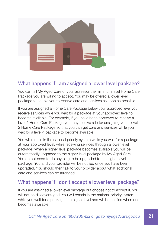

#### **What happens if I am assigned a lower level package?**

You can tell My Aged Care or your assessor the minimum level Home Care Package you are willing to accept. You may be offered a lower level package to enable you to receive care and services as soon as possible.

If you are assigned a Home Care Package below your approved level you receive services while you wait for a package at your approved level to become available. For example, if you have been approved to receive a level 4 Home Care Package you may receive a letter assigning you a level 2 Home Care Package so that you can get care and services while you wait for a level 4 package to become available.

You will remain in the national priority system while you wait for a package at your approved level, while receiving services through a lower level package. When a higher level package becomes available you will be automatically upgraded to the higher level package by My Aged Care. You do not need to do anything to be upgraded to the higher level package. You and your provider will be notified once you have been upgraded. You should then talk to your provider about what additional care and services can be arranged.

#### **What happens if I don't accept a lower level package?**

If you are assigned a lower level package but choose not to accept it, you will not be disadvantaged. You will remain in the national priority system while you wait for a package at a higher level and will be notified when one becomes available.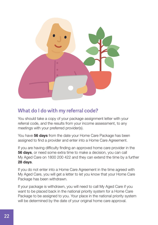

#### **What do I do with my referral code?**

You should take a copy of your package assignment letter with your referral code, and the results from your income assessment, to any meetings with your preferred provider(s).

You have **56 days** from the date your Home Care Package has been assigned to find a provider and enter into a Home Care Agreement.

If you are having difficulty finding an approved home care provider in the **56 days**, or need some extra time to make a decision, you can call My Aged Care on 1800 200 422 and they can extend the time by a further 28 days.

If you do not enter into a Home Care Agreement in the time agreed with My Aged Care, you will get a letter to let you know that your Home Care Package has been withdrawn.

If your package is withdrawn, you will need to call My Aged Care if you want to be placed back in the national priority system for a Home Care Package to be assigned to you. Your place in the national priority system will be determined by the date of your original home care approval.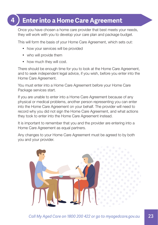### <span id="page-24-0"></span>**4 Enter into a Home Care Agreement**

Once you have chosen a home care provider that best meets your needs, they will work with you to develop your care plan and package budget.

This will form the basis of your Home Care Agreement, which sets out:

- how your services will be provided
- who will provide them
- how much they will cost.

There should be enough time for you to look at the Home Care Agreement, and to seek independent legal advice, if you wish, before you enter into the Home Care Agreement.

You must enter into a Home Care Agreement before your Home Care Package services start.

If you are unable to enter into a Home Care Agreement because of any physical or medical problems, another person representing you can enter into the Home Care Agreement on your behalf. The provider will need to record why you did not sign the Home Care Agreement, and what actions they took to enter into the Home Care Agreement instead.

It is important to remember that you and the provider are entering into a Home Care Agreement as equal partners.

Any changes to your Home Care Agreement must be agreed to by both you and your provider.

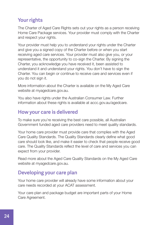### **Your rights**

The Charter of Aged Care Rights sets out your rights as a person receiving Home Care Package services. Your provider must comply with the Charter and respect your rights.

Your provider must help you to understand your rights under the Charter and give you a signed copy of the Charter before or when you start receiving aged care services. Your provider must also give you, or your representative, the opportunity to co-sign the Charter. By signing the Charter, you acknowledge you have received it, been assisted to understand it and understand your rights. You don't have to sign the Charter. You can begin or continue to receive care and services even if you do not sign it.

More information about the Charter is available on the My Aged Care website at [myagedcare.gov.au](http://myagedcare.gov.au).

You also have rights under the Australian Consumer Law. Further information about these rights is available at [accc.gov.au/agedcare](http://accc.gov.au/agedcare).

#### **How your care is delivered**

To make sure you're receiving the best care possible, all Australian Government funded aged care providers need to meet quality standards.

Your home care provider must provide care that complies with the Aged Care Quality Standards. The Quality Standards clearly define what good care should look like, and make it easier to check that people receive good care. The Quality Standards reflect the level of care and services you can expect from your provider.

Read more about the Aged Care Quality Standards on the My Aged Care website at myagedcare.gov.au.

#### **Developing your care plan**

Your home care provider will already have some information about your care needs recorded at your ACAT assessment.

Your care plan and package budget are important parts of your Home Care Agreement.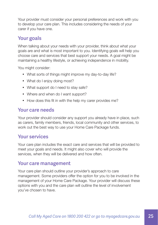Your provider must consider your personal preferences and work with you to develop your care plan. This includes considering the needs of your carer if you have one.

#### **Your goals**

When talking about your needs with your provider, think about what your goals are and what is most important to you. Identifying goals will help you choose care and services that best support your needs. A goal might be maintaining a healthy lifestyle, or achieving independence in mobility.

You might consider:

- What sorts of things might improve my day-to-day life?
- What do I enjoy doing most?
- What support do I need to stay safe?
- Where and when do I want support?
- How does this fit in with the help my carer provides me?

#### **Your care needs**

Your provider should consider any support you already have in place, such as carers, family members, friends, local community and other services, to work out the best way to use your Home Care Package funds.

#### **Your services**

Your care plan includes the exact care and services that will be provided to meet your goals and needs. It might also cover who will provide the services, when they will be delivered and how often.

#### **Your care management**

Your care plan should outline your provider's approach to care management. Some providers offer the option for you to be involved in the management of your Home Care Package. Your provider will discuss these options with you and the care plan will outline the level of involvement you've chosen to have.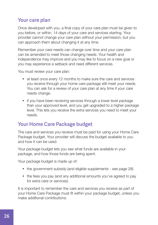### **Your care plan**

Once developed with you, a final copy of your care plan must be given to you before, or within, 14 days of your care and services starting. Your provider cannot change your care plan without your permission, but you can approach them about changing it at any time.

Remember your care needs can change over time and your care plan can be amended to meet those changing needs. Your health and independence may improve and you may like to focus on a new goal or you may experience a setback and need different services.

You must review your care plan:

- at least once every 12 months to make sure the care and services you receive through your home care package still meet your needs. You can ask for a review of your care plan at any time if your care needs change.
- if you have been receiving services through a lower level package than your approved level, and you get upgraded to a higher package level. This lets you receive the extra services you need to meet your needs.

#### **Your Home Care Package budget**

The care and services you receive must be paid for using your Home Care Package budget. Your provider will discuss the budget available to you and how it can be used.

Your package budget lets you see what funds are available in your package, and how those funds are being spent.

Your package budget is made up of:

- the government subsidy (and eligible supplements see page 28)
- the fees you pay (and any additional amounts you've agreed to pay for extra care or services).

It is important to remember the care and services you receive as part of your Home Care Package must fit within your package budget, unless you make additional contributions.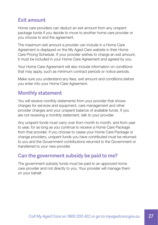#### **Exit amount**

Home care providers can deduct an exit amount from any unspent package funds if you decide to move to another home care provider or you choose to end the agreement.

The maximum exit amount a provider can include in a Home Care Agreement is displayed on the My Aged Care website in their Home Care Pricing Schedule. If your provider wishes to charge an exit amount, it must be included in your Home Care Agreement and agreed by you.

Your Home Care Agreement will also include information on conditions that may apply, such as minimum contract periods or notice periods.

Make sure you understand any fees, exit amount and conditions before you enter into your Home Care Agreement.

### **Monthly statement**

You will receive monthly statements from your provider that shows charges for services and equipment, care management and other provider charges and your unspent balance of available funds. If you are not receiving a monthly statement, talk to your provider.

Any unspent funds must carry over from month to month, and from year to year, for as long as you continue to receive a Home Care Package from that provider. If you choose to cease your Home Care Package or change providers, unspent funds you have contributed must be returned to you and the Government contributions returned to the Government or transferred to your new provider.

#### **Can the government subsidy be paid to me?**

The government subsidy funds must be paid to an approved home care provider and not directly to you. Your provider will manage them on your behalf.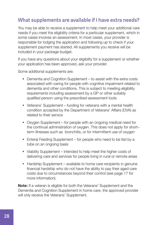#### **What supplements are available if I have extra needs?**

You may be able to receive a supplement to help meet your additional care needs if you meet the eligibility criteria for a particular supplement, which in some cases involves an assessment. In most cases, your provider is responsible for lodging the application and following up to check if your supplement payment has started. All supplements you receive will be included in your package budget.

If you have any questions about your eligibility for a supplement or whether your application has been approved, ask your provider.

Some additional supplements are:

- Dementia and Cognition Supplement to assist with the extra costs associated with caring for people with cognitive impairment related to dementia and other conditions. This is subject to meeting eligibility requirements including assessment by a GP or other suitably qualified person using the prescribed assessment tools
- Veterans' Supplement funding for veterans with a mental health condition accepted by the Department of Veterans' Affairs (DVA) as related to their service
- Oxygen Supplement for people with an ongoing medical need for the continual administration of oxygen. This does not apply for short– term illnesses such as bronchitis, or for intermittent use of oxygen
- Enteral Feeding Supplement for people who need to be fed by a tube on an ongoing basis
- Viability Supplement intended to help meet the higher costs of delivering care and services for people living in rural or remote areas
- Hardship Supplement available to home care recipients in genuine financial hardship who do not have the ability to pay their aged care costs due to circumstances beyond their control (see page 17 for more information).

**Note:** If a veteran is eligible for both the Veterans' Supplement and the Dementia and Cognition Supplement in home care, the approved provider will only receive the Veterans' Supplement.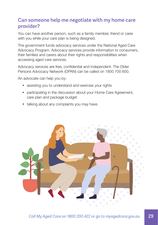#### **Can someone help me negotiate with my home care provider?**

You can have another person, such as a family member, friend or carer with you while your care plan is being designed.

The government funds advocacy services under the National Aged Care Advocacy Program. Advocacy services provide information to consumers, their families and carers about their rights and responsibilities when accessing aged care services.

Advocacy services are free, confidential and independent. The Older Persons Advocacy Network (OPAN) can be called on 1800 700 600.

An advocate can help you by:

- assisting you to understand and exercise your rights
- participating in the discussion about your Home Care Agreement, care plan and package budget
- talking about any complaints you may have.

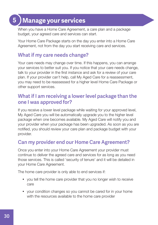# <span id="page-31-0"></span>**5 Manage your services**

When you have a Home Care Agreement, a care plan and a package budget, your agreed care and services can start.

Your Home Care Package starts on the day you enter into a Home Care Agreement, not from the day you start receiving care and services.

#### **What if my care needs change?**

Your care needs may change over time. If this happens, you can arrange your services to better suit you. If you notice that your care needs change, talk to your provider in the first instance and ask for a review of your care plan. If your provider can't help, call My Aged Care for a reassessment, you may need to be reassessed for a higher level Home Care Package or other support services.

#### **What if I am receiving a lower level package than the one I was approved for?**

If you receive a lower level package while waiting for your approved level, My Aged Care you will be automatically upgrade you to the higher level package when one becomes available. My Aged Care will notify you and your provider when your package has been upgraded. As soon as you are notified, you should review your care plan and package budget with your provider.

### **Can my provider end our Home Care Agreement?**

Once you enter into your Home Care Agreement your provider must continue to deliver the agreed care and services for as long as you need those services. This is called 'security of tenure' and it will be detailed in your Home Care Agreement.

The home care provider is only able to end services if:

- y you tell the home care provider that you no longer wish to receive care
- your condition changes so you cannot be cared for in your home with the resources available to the home care provider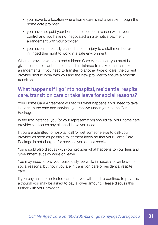- y you move to a location where home care is not available through the home care provider
- you have not paid your home care fees for a reason within your control and you have not negotiated an alternative payment arrangement with your provider
- you have intentionally caused serious injury to a staff member or infringed their right to work in a safe environment.

When a provider wants to end a Home Care Agreement, you must be given reasonable written notice and assistance to make other suitable arrangements. If you need to transfer to another type of care, the current provider should work with you and the new provider to ensure a smooth transition.

#### **What happens if I go into hospital, residential respite care, transition care or take leave for social reasons?**

Your Home Care Agreement will set out what happens if you need to take leave from the care and services you receive under your Home Care Package.

In the first instance, you (or your representative) should call your home care provider to discuss any planned leave you need.

If you are admitted to hospital, call (or get someone else to call) your provider as soon as possible to let them know so that your Home Care Package is not charged for services you do not receive.

You should also discuss with your provider what happens to your fees and government subsidy while on leave.

You may need to pay your basic daily fee while in hospital or on leave for social reasons, but not if you are in transition care or residential respite care.

If you pay an income-tested care fee, you will need to continue to pay this, although you may be asked to pay a lower amount. Please discuss this further with your provider.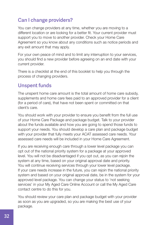### **Can I change providers?**

You can change providers at any time, whether you are moving to a different location or are looking for a better fit. Your current provider must support you to move to another provider. Check your Home Care Agreement so you know about any conditions such as notice periods and any exit amount that may apply.

For your own peace of mind and to limit any interruption to your services, you should find a new provider before agreeing on an end date with your current provider.

There is a checklist at the end of this booklet to help you through the process of changing providers.

#### **Unspent funds**

The unspent home care amount is the total amount of home care subsidy, supplements and home care fees paid to an approved provider for a client (for a period of care), that have not been spent or committed on that client's care.

You should work with your provider to ensure you benefit from the full use of your Home Care Package and package budget. Talk to your provider about the funds available and how you are going to spend those funds to support your needs. You should develop a care plan and package budget with your provider that fully meets your ACAT assessed care needs. Your assessed care needs will be included in your Home Care Agreement.

If you are receiving enough care through a lower level package you can opt out of the national priority system for a package at your approved level. You will not be disadvantaged if you opt out, as you can rejoin the system at any time, based on your original approval date and priority. You will continue receiving services through your lower level package. If your care needs increase in the future, you can rejoin the national priority system and based on your original approval date, be in the system for your approved level package. You can change your status to 'not seeking services' in your My Aged Care Online Account or call the My Aged Care contact centre to do this for you.

You should review your care plan and package budget with your provider as soon as you are upgraded, so you are making the best use of your package.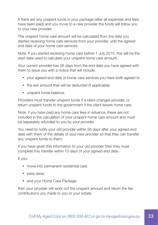If there are any unspent funds in your package (after all expenses and fees have been paid) and you move to a new provider the funds will follow you to your new provider.

The unspent home care amount will be calculated from the date you started receiving home care services from your provider, until the agreed end date of your home care services.

Note: If you started receiving home care before 1 July 2015, this will be the start date used to calculate your unspent home care amount.

Your current provider has 56 days from the end date you have agreed with them to issue you with a notice that will include:

- your agreed end date of home care services you have both agreed to
- the exit amount that will be deducted (if applicable)
- unspent funds balance.

Providers must transfer unspent funds if a client changes provider, or return unspent funds to the government if the client leaves home care.

Note: if you have paid any home care fees in advance, these are not included in the calculation of your unspent home care amount and must be separately refunded to you by your provider.

You need to notify your old provider within 56 days after your agreed end date with them of the details of your new provider so that they can transfer any unspent funds to them.

If you have given this information to your old provider then they must complete this transfer within 70 days of your agreed end date.

If you:

- move into permanent residential care
- pass away
- end your Home Care Package

then your provider will work out the unspent amount and return the fee contributions you made to you or your estate.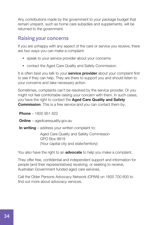Any contributions made by the government to your package budget that remain unspent, such as home care subsidies and supplements, will be returned to the government.

#### **Raising your concerns**

If you are unhappy with any aspect of the care or service you receive, there are two ways you can make a complaint:

- speak to your service provider about your concerns
- contact the Aged Care Quality and Safety Commission.

It is often best you talk to your **service provider** about your complaint first to see if they can help. They are there to support you and should listen to your concerns and take necessary action.

Sometimes, complaints can't be resolved by the service provider. Or you might not feel comfortable raising your concern with them. In such cases, you have the right to contact the Aged Care Quality and Safety **Commission.** This is a free service and you can contact them by:

**Phone – 1800 951 822** 

**Online** – agedcarequality.gov.au

In writing – address your written complaint to:

Aged Care Quality and Safety Commission GPO Box 9819 (Your capital city and state/territory)

You also have the right to an **advocate** to help you make a complaint.

They offer free, confidential and independent support and information for people (and their representatives) receiving, or seeking to receive, Australian Government funded aged care services.

Call the Older Persons Advocacy Network (OPAN) on 1800 700 600 to find out more about advocacy services.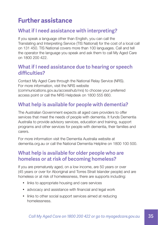## <span id="page-36-0"></span>**Further assistance**

### **What if I need assistance with interpreting?**

If you speak a language other than English, you can call the Translating and Interpreting Service (TIS National) for the cost of a local call on 131 450. TIS National covers more than 100 languages. Call and tell the operator the language you speak and ask them to call My Aged Care on 1800 200 422.

#### **What if I need assistance due to hearing or speech difficulties?**

Contact My Aged Care through the National Relay Service (NRS). For more information, visit the NRS website (communications.gov.au/accesshub/nrs) to choose your preferred access point or call the NRS Helpdesk on 1800 555 660.

### **What help is available for people with dementia?**

The Australian Government expects all aged care providers to offer services that meet the needs of people with dementia. It funds Dementia Australia to provide advisory services, education and training, support programs and other services for people with dementia, their families and carers.

For more information visit the Dementia Australia website at [dementia.org.au](http://dementia.org.au) or call the National Dementia Helpline on 1800 100 500.

#### **What help is available for older people who are homeless or at risk of becoming homeless?**

If you are prematurely aged, on a low income, are 50 years or over (45 years or over for Aboriginal and Torres Strait Islander people) and are homeless or at risk of homelessness, there are supports including:

- links to appropriate housing and care services
- advocacy and assistance with financial and legal work
- links to other social support services aimed at reducing homelessness.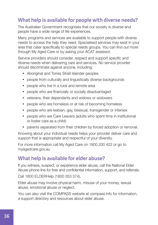#### **What help is available for people with diverse needs?**

The Australian Government recognises that our society is diverse and people have a wide range of life experiences.

Many programs and services are available to support people with diverse needs to access the help they need. Specialised services may exist in your area that cater specifically to special needs groups. You can find out more through My Aged Care or by asking your ACAT assessor.

Service providers should consider, respect and support specific and diverse needs when delivering care and services. No service provider should discriminate against anyone, including:

- Aboriginal and Torres Strait Islander peoples
- people from culturally and linguistically diverse backgrounds
- people who live in a rural and remote area
- people who are financially or socially disadvantaged
- veterans, their dependants and widows or widowers
- people who are homeless or at risk of becoming homeless
- people who are lesbian, gay, bisexual, transgender or intersex
- people who are Care Leavers (adults who spent time in institutional or foster care as a child)
- parents separated from their children by forced adoption or removal.

Knowing about your individual needs helps your provider deliver care and support that is appropriate and respectful of your diversity.

For more information call My Aged Care on 1800 200 422 or go to myagedcare.gov.au

#### **What help is available for elder abuse?**

If you witness, suspect, or experience elder abuse, call the National Elder Abuse phone line for free and confidential information, support, and referrals.

Call 1800 ELDERHelp (1800 353 374).

Elder abuse may involve physical harm, misuse of your money, sexual abuse, emotional abuse or neglect.

You can also visit the COMPASS website at compass.info for information, a support directory and resources about elder abuse.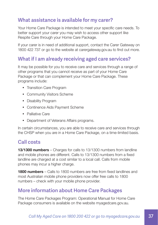### **What assistance is available for my carer?**

Your Home Care Package is intended to meet your specific care needs. To better support your carer you may wish to access other support like Respite Care through your Home Care Package.

If your carer is in need of additional support, contact the Carer Gateway on 1800 422 737 or go to the website at carergateway.gov.au to find out more.

#### **What if I am already receiving aged care services?**

It may be possible for you to receive care and services through a range of other programs that you cannot receive as part of your Home Care Package or that can complement your Home Care Package. These programs include:

- Transition Care Program
- Community Visitors Scheme
- Disability Program
- Continence Aids Payment Scheme
- Palliative Care
- Department of Veterans Affairs programs.

In certain circumstances, you are able to receive care and services through the CHSP when you are in a Home Care Package, on a time-limited basis.

#### **Call costs**

13/1300 numbers – Charges for calls to 13/1300 numbers from landline and mobile phones are different. Calls to 13/1300 numbers from a fixed landline are charged at a cost similar to a local call. Calls from mobile phones may incur a higher charge.

**1800 numbers** – Calls to 1800 numbers are free from fixed landlines and most Australian mobile phone providers now offer free calls to 1800 numbers – check with your mobile phone provider.

#### **More information about Home Care Packages**

The Home Care Packages Program: Operational Manual for Home Care Package consumers is available on the website myagedcare.gov.au.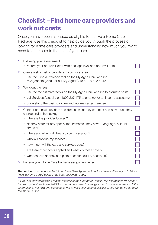### <span id="page-39-0"></span>**Checklist – Find home care providers and work out costs**

Once you have been assessed as eligible to receive a Home Care Package, use this checklist to help guide you through the process of looking for home care providers and understanding how much you might need to contribute to the cost of your care.

| 1. | Following your assessment                                                                                 |  |
|----|-----------------------------------------------------------------------------------------------------------|--|
|    | receive your approval letter with package level and approval date                                         |  |
| 2. | Create a short list of providers in your local area                                                       |  |
|    | use the 'Find a Provider' tool on the My Aged Care website                                                |  |
|    | myagedcare.gov.au or call My Aged Care on 1800 200 422                                                    |  |
| 3. | Work out the fees                                                                                         |  |
|    | use the fee estimator tools on the My Aged Care website to estimate costs                                 |  |
|    | call Services Australia on 1800 227 475 to arrange for an income assessment<br>$\bullet$                  |  |
|    | understand the basic daily fee and income-tested care fee                                                 |  |
| 4. | Contact potential providers and discuss what they can offer and how much they<br>charge under the package |  |
|    | where is the provider located?                                                                            |  |
|    | do they cater for any special requirements I may have – language, cultural,<br>٠<br>diversity?            |  |
|    | where and when will they provide my support?                                                              |  |
|    | who will provide my services?                                                                             |  |
|    | how much will the care and services cost?                                                                 |  |
|    | are there other costs applied and what do these cover?                                                    |  |
|    | what checks do they complete to ensure quality of service?                                                |  |
| 5. | Receive your Home Care Package assignment letter                                                          |  |

Remember: *You cannot enter into a Home Care Agreement until we have written to you to let you know a Home Care Package has been assigned to you.*

*\* If you are already receiving means tested income support payments, this information will already be held by Services Australia/DVA so you do not need to arrange for an income assessment. If this information is not held and you choose not to have your income assessed, you can be asked to pay the maximum fee.*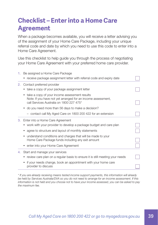### <span id="page-40-0"></span>**Checklist – Enter into a Home Care Agreement**

When a package becomes available, you will receive a letter advising you of the assignment of your Home Care Package, including your unique referral code and date by which you need to use this code to enter into a Home Care Agreement.

Use this checklist to help guide you through the process of negotiating your Home Care Agreement with your preferred home care provider.

| 1. | Be assigned a Home Care Package<br>receive package assignment letter with referral code and expiry date                                                   |  |
|----|-----------------------------------------------------------------------------------------------------------------------------------------------------------|--|
| 2. | Contact preferred provider                                                                                                                                |  |
|    | take a copy of your package assignment letter                                                                                                             |  |
|    | take a copy of your income assessment results<br>Note: If you have not yet arranged for an income assessment,<br>call Services Australia on 1800 227 475* |  |
|    | do you need more than 56 days to make a decision?                                                                                                         |  |
|    | - contact call My Aged Care on 1800 200 422 for an extension                                                                                              |  |
| 3. | Enter into a Home Care Agreement                                                                                                                          |  |
|    | • work with your provider to develop a package budget and care plan                                                                                       |  |
|    | agree to structure and layout of monthly statements                                                                                                       |  |
|    | understand conditions and charges that will be made to your<br>Home Care Package funds including any exit amount                                          |  |
|    | enter into your Home Care Agreement                                                                                                                       |  |
| 4. | Start and manage your services                                                                                                                            |  |
|    | review care plan on a regular basis to ensure it is still meeting your needs                                                                              |  |
|    | if your needs change, book an appointment with your home care<br>provider to discuss                                                                      |  |

*\* If you are already receiving means tested income support payments, this information will already be held by Services Australia/DVA so you do not need to arrange for an income assessment. If this information is not held and you choose not to have your income assessed, you can be asked to pay the maximum fee.*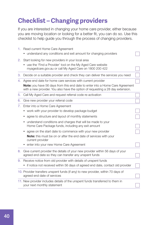# <span id="page-41-0"></span>**Checklist – Changing providers**

If you are interested in changing your home care provider, either because you are moving location or looking for a better fit, you can do so. Use this checklist to help guide you through the process of changing providers.

| 1. | Read current Home Care Agreement<br>• understand any conditions and exit amount for changing providers                                                                                                                                 |  |
|----|----------------------------------------------------------------------------------------------------------------------------------------------------------------------------------------------------------------------------------------|--|
| 2. | Start looking for new providers in your local area<br>use the 'Find a Provider' tool on the My Aged Care website<br>$\bullet$<br>myagedcare.gov.au or call My Aged Care on 1800 200 422                                                |  |
| З. | Decide on a suitable provider and check they can deliver the services you need                                                                                                                                                         |  |
| 4. | Agree end date for home care services with current provider<br><b>Note:</b> you have 56 days from this end date to enter into a Home Care Agreement<br>with a new provider. You also have the option of requesting a 28 day extension. |  |
| 5. | Call My Aged Care and request referral code re-activation                                                                                                                                                                              |  |
| 6. | Give new provider your referral code                                                                                                                                                                                                   |  |
| 7. | Enter into a Home Care Agreement<br>work with your provider to develop package budget                                                                                                                                                  |  |
|    | agree to structure and layout of monthly statements<br>$\bullet$<br>understand conditions and charges that will be made to your<br>$\bullet$<br>Home Care Package funds, including any exit amount                                     |  |
|    | agree on the start date to commence with your new provider<br>٠<br><b>Note:</b> this must be on or after the end date of services with your<br>current provider<br>enter into your new Home Care Agreement                             |  |
| 8. | Give current provider the details of your new provider within 56 days of your<br>agreed end date so they can transfer any unspent funds                                                                                                |  |
| 9. | Receive notice from old provider with details of unspent funds                                                                                                                                                                         |  |
|    | • if notice not received within 56 days of agreed end date, contact old provider                                                                                                                                                       |  |
|    | 10. Provider transfers unspent funds (if any) to new provider, within 70 days of<br>agreed end date of services                                                                                                                        |  |
|    | 11. New provider includes details of the unspent funds transferred to them in<br>your next monthly statement                                                                                                                           |  |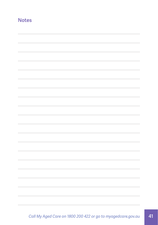#### **Notes**